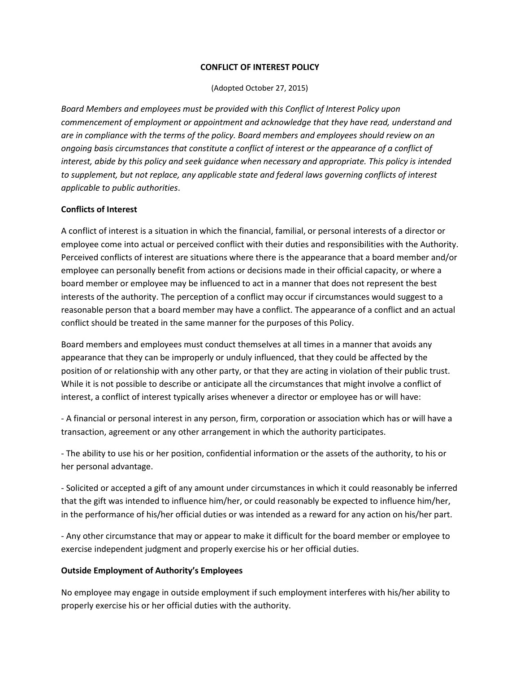### **CONFLICT OF INTEREST POLICY**

(Adopted October 27, 2015)

*Board Members and employees must be provided with this Conflict of Interest Policy upon commencement of employment or appointment and acknowledge that they have read, understand and are in compliance with the terms of the policy. Board members and employees should review on an ongoing basis circumstances that constitute a conflict of interest or the appearance of a conflict of interest, abide by this policy and seek guidance when necessary and appropriate. This policy is intended to supplement, but not replace, any applicable state and federal laws governing conflicts of interest applicable to public authorities*.

### **Conflicts of Interest**

A conflict of interest is a situation in which the financial, familial, or personal interests of a director or employee come into actual or perceived conflict with their duties and responsibilities with the Authority. Perceived conflicts of interest are situations where there is the appearance that a board member and/or employee can personally benefit from actions or decisions made in their official capacity, or where a board member or employee may be influenced to act in a manner that does not represent the best interests of the authority. The perception of a conflict may occur if circumstances would suggest to a reasonable person that a board member may have a conflict. The appearance of a conflict and an actual conflict should be treated in the same manner for the purposes of this Policy.

Board members and employees must conduct themselves at all times in a manner that avoids any appearance that they can be improperly or unduly influenced, that they could be affected by the position of or relationship with any other party, or that they are acting in violation of their public trust. While it is not possible to describe or anticipate all the circumstances that might involve a conflict of interest, a conflict of interest typically arises whenever a director or employee has or will have:

- A financial or personal interest in any person, firm, corporation or association which has or will have a transaction, agreement or any other arrangement in which the authority participates.

- The ability to use his or her position, confidential information or the assets of the authority, to his or her personal advantage.

- Solicited or accepted a gift of any amount under circumstances in which it could reasonably be inferred that the gift was intended to influence him/her, or could reasonably be expected to influence him/her, in the performance of his/her official duties or was intended as a reward for any action on his/her part.

- Any other circumstance that may or appear to make it difficult for the board member or employee to exercise independent judgment and properly exercise his or her official duties.

# **Outside Employment of Authority's Employees**

No employee may engage in outside employment if such employment interferes with his/her ability to properly exercise his or her official duties with the authority.